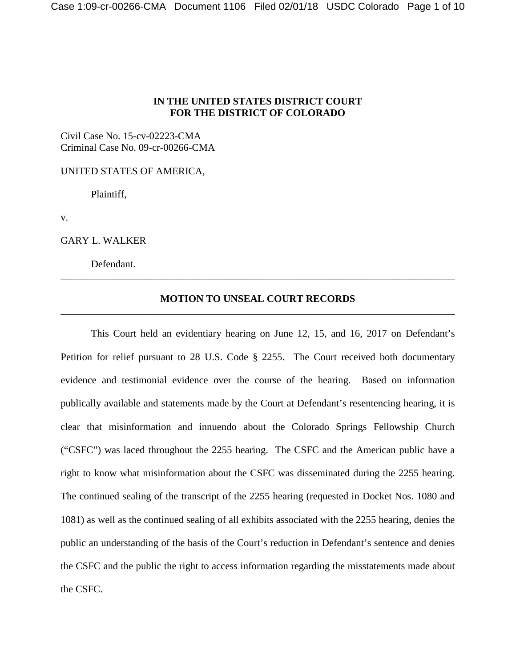## **IN THE UNITED STATES DISTRICT COURT FOR THE DISTRICT OF COLORADO**

Civil Case No. 15-cv-02223-CMA Criminal Case No. 09-cr-00266-CMA

UNITED STATES OF AMERICA,

Plaintiff,

v.

GARY L. WALKER

Defendant.

## **MOTION TO UNSEAL COURT RECORDS** \_\_\_\_\_\_\_\_\_\_\_\_\_\_\_\_\_\_\_\_\_\_\_\_\_\_\_\_\_\_\_\_\_\_\_\_\_\_\_\_\_\_\_\_\_\_\_\_\_\_\_\_\_\_\_\_\_\_\_\_\_\_\_\_\_\_\_\_\_\_\_\_\_\_\_\_\_\_

\_\_\_\_\_\_\_\_\_\_\_\_\_\_\_\_\_\_\_\_\_\_\_\_\_\_\_\_\_\_\_\_\_\_\_\_\_\_\_\_\_\_\_\_\_\_\_\_\_\_\_\_\_\_\_\_\_\_\_\_\_\_\_\_\_\_\_\_\_\_\_\_\_\_\_\_\_\_

This Court held an evidentiary hearing on June 12, 15, and 16, 2017 on Defendant's Petition for relief pursuant to 28 U.S. Code § 2255. The Court received both documentary evidence and testimonial evidence over the course of the hearing. Based on information publically available and statements made by the Court at Defendant's resentencing hearing, it is clear that misinformation and innuendo about the Colorado Springs Fellowship Church ("CSFC") was laced throughout the 2255 hearing. The CSFC and the American public have a right to know what misinformation about the CSFC was disseminated during the 2255 hearing. The continued sealing of the transcript of the 2255 hearing (requested in Docket Nos. 1080 and 1081) as well as the continued sealing of all exhibits associated with the 2255 hearing, denies the public an understanding of the basis of the Court's reduction in Defendant's sentence and denies the CSFC and the public the right to access information regarding the misstatements made about the CSFC.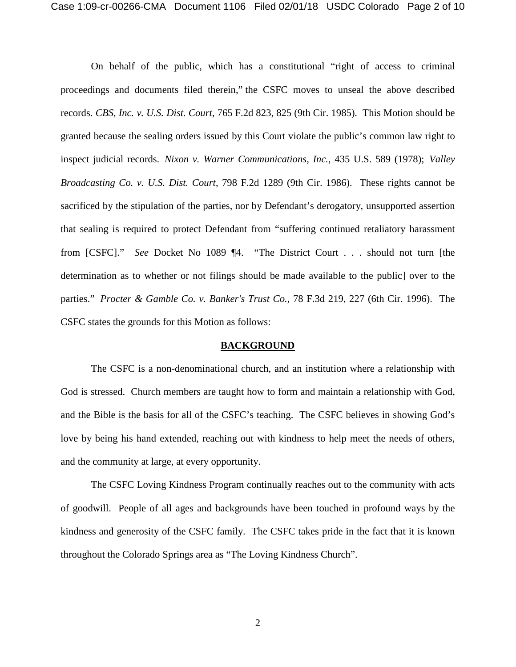On behalf of the public, which has a constitutional "right of access to criminal proceedings and documents filed therein," the CSFC moves to unseal the above described records. *CBS, Inc. v. U.S. Dist. Court*, 765 F.2d 823, 825 (9th Cir. 1985). This Motion should be granted because the sealing orders issued by this Court violate the public's common law right to inspect judicial records. *Nixon v. Warner Communications, Inc.*, 435 U.S. 589 (1978); *Valley Broadcasting Co. v. U.S. Dist. Court*, 798 F.2d 1289 (9th Cir. 1986). These rights cannot be sacrificed by the stipulation of the parties, nor by Defendant's derogatory, unsupported assertion that sealing is required to protect Defendant from "suffering continued retaliatory harassment from [CSFC]." *See* Docket No 1089 ¶4. "The District Court . . . should not turn [the determination as to whether or not filings should be made available to the public] over to the parties." *Procter & Gamble Co. v. Banker's Trust Co.*, 78 F.3d 219, 227 (6th Cir. 1996). The CSFC states the grounds for this Motion as follows:

#### **BACKGROUND**

The CSFC is a non-denominational church, and an institution where a relationship with God is stressed. Church members are taught how to form and maintain a relationship with God, and the Bible is the basis for all of the CSFC's teaching. The CSFC believes in showing God's love by being his hand extended, reaching out with kindness to help meet the needs of others, and the community at large, at every opportunity.

The CSFC Loving Kindness Program continually reaches out to the community with acts of goodwill. People of all ages and backgrounds have been touched in profound ways by the kindness and generosity of the CSFC family. The CSFC takes pride in the fact that it is known throughout the Colorado Springs area as "The Loving Kindness Church".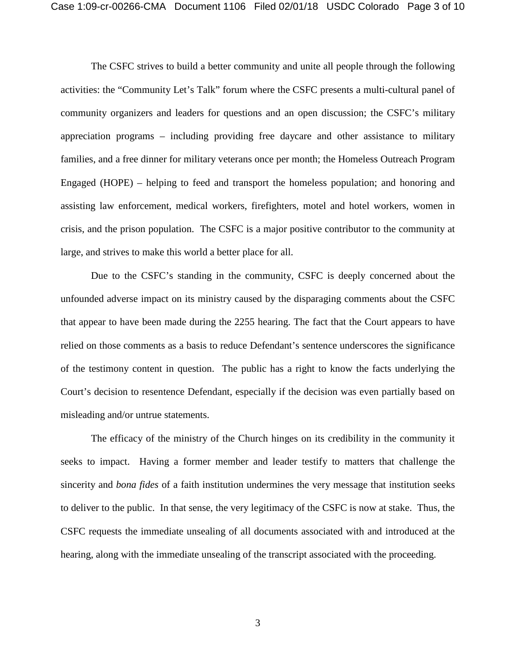The CSFC strives to build a better community and unite all people through the following activities: the "Community Let's Talk" forum where the CSFC presents a multi-cultural panel of community organizers and leaders for questions and an open discussion; the CSFC's military appreciation programs – including providing free daycare and other assistance to military families, and a free dinner for military veterans once per month; the Homeless Outreach Program Engaged (HOPE) – helping to feed and transport the homeless population; and honoring and assisting law enforcement, medical workers, firefighters, motel and hotel workers, women in crisis, and the prison population. The CSFC is a major positive contributor to the community at large, and strives to make this world a better place for all.

Due to the CSFC's standing in the community, CSFC is deeply concerned about the unfounded adverse impact on its ministry caused by the disparaging comments about the CSFC that appear to have been made during the 2255 hearing. The fact that the Court appears to have relied on those comments as a basis to reduce Defendant's sentence underscores the significance of the testimony content in question. The public has a right to know the facts underlying the Court's decision to resentence Defendant, especially if the decision was even partially based on misleading and/or untrue statements.

The efficacy of the ministry of the Church hinges on its credibility in the community it seeks to impact. Having a former member and leader testify to matters that challenge the sincerity and *bona fides* of a faith institution undermines the very message that institution seeks to deliver to the public. In that sense, the very legitimacy of the CSFC is now at stake. Thus, the CSFC requests the immediate unsealing of all documents associated with and introduced at the hearing, along with the immediate unsealing of the transcript associated with the proceeding.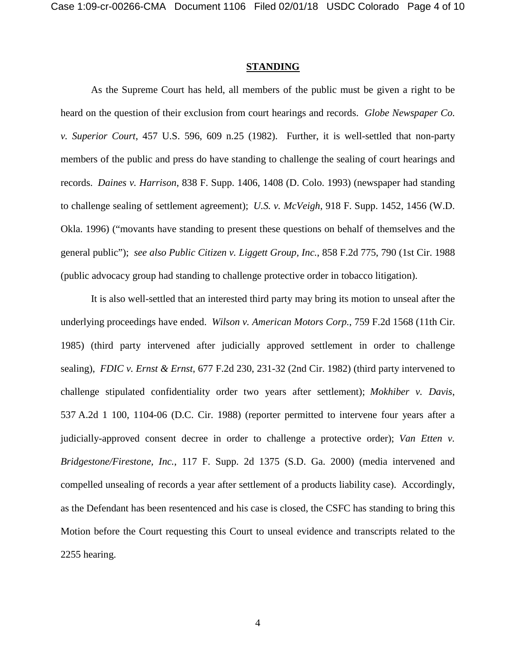#### **STANDING**

As the Supreme Court has held, all members of the public must be given a right to be heard on the question of their exclusion from court hearings and records. *Globe Newspaper Co. v. Superior Court*, 457 U.S. 596, 609 n.25 (1982). Further, it is well-settled that non-party members of the public and press do have standing to challenge the sealing of court hearings and records. *Daines v. Harrison*, 838 F. Supp. 1406, 1408 (D. Colo. 1993) (newspaper had standing to challenge sealing of settlement agreement); *U.S. v. McVeigh*, 918 F. Supp. 1452, 1456 (W.D. Okla. 1996) ("movants have standing to present these questions on behalf of themselves and the general public"); *see also Public Citizen v. Liggett Group, Inc.*, 858 F.2d 775, 790 (1st Cir. 1988 (public advocacy group had standing to challenge protective order in tobacco litigation).

It is also well-settled that an interested third party may bring its motion to unseal after the underlying proceedings have ended. *Wilson v. American Motors Corp.*, 759 F.2d 1568 (11th Cir. 1985) (third party intervened after judicially approved settlement in order to challenge sealing), *FDIC v. Ernst & Ernst*, 677 F.2d 230, 231-32 (2nd Cir. 1982) (third party intervened to challenge stipulated confidentiality order two years after settlement); *Mokhiber v. Davis*, 537 A.2d 1 100, 1104-06 (D.C. Cir. 1988) (reporter permitted to intervene four years after a judicially-approved consent decree in order to challenge a protective order); *Van Etten v. Bridgestone/Firestone, Inc.*, 117 F. Supp. 2d 1375 (S.D. Ga. 2000) (media intervened and compelled unsealing of records a year after settlement of a products liability case). Accordingly, as the Defendant has been resentenced and his case is closed, the CSFC has standing to bring this Motion before the Court requesting this Court to unseal evidence and transcripts related to the 2255 hearing.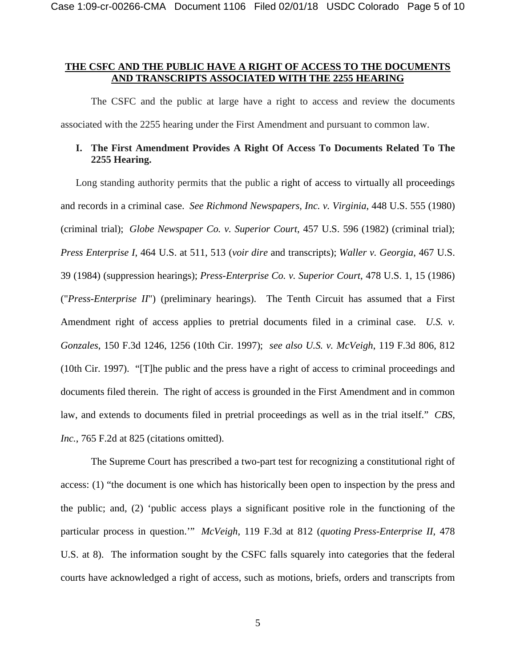## **THE CSFC AND THE PUBLIC HAVE A RIGHT OF ACCESS TO THE DOCUMENTS AND TRANSCRIPTS ASSOCIATED WITH THE 2255 HEARING**

The CSFC and the public at large have a right to access and review the documents associated with the 2255 hearing under the First Amendment and pursuant to common law.

## **I. The First Amendment Provides A Right Of Access To Documents Related To The 2255 Hearing.**

Long standing authority permits that the public a right of access to virtually all proceedings and records in a criminal case. *See Richmond Newspapers, Inc. v. Virginia*, 448 U.S. 555 (1980) (criminal trial); *Globe Newspaper Co. v. Superior Court*, 457 U.S. 596 (1982) (criminal trial); *Press Enterprise I*, 464 U.S. at 511, 513 (*voir dire* and transcripts); *Waller v. Georgia*, 467 U.S. 39 (1984) (suppression hearings); *Press-Enterprise Co. v. Superior Court*, 478 U.S. 1, 15 (1986) ("*Press-Enterprise II*") (preliminary hearings). The Tenth Circuit has assumed that a First Amendment right of access applies to pretrial documents filed in a criminal case. *U.S. v. Gonzales*, 150 F.3d 1246, 1256 (10th Cir. 1997); *see also U.S. v. McVeigh*, 119 F.3d 806, 812 (10th Cir. 1997). "[T]he public and the press have a right of access to criminal proceedings and documents filed therein. The right of access is grounded in the First Amendment and in common law, and extends to documents filed in pretrial proceedings as well as in the trial itself." *CBS, Inc.*, 765 F.2d at 825 (citations omitted).

The Supreme Court has prescribed a two-part test for recognizing a constitutional right of access: (1) "the document is one which has historically been open to inspection by the press and the public; and, (2) 'public access plays a significant positive role in the functioning of the particular process in question.'" *McVeigh*, 119 F.3d at 812 (*quoting Press-Enterprise II*, 478 U.S. at 8). The information sought by the CSFC falls squarely into categories that the federal courts have acknowledged a right of access, such as motions, briefs, orders and transcripts from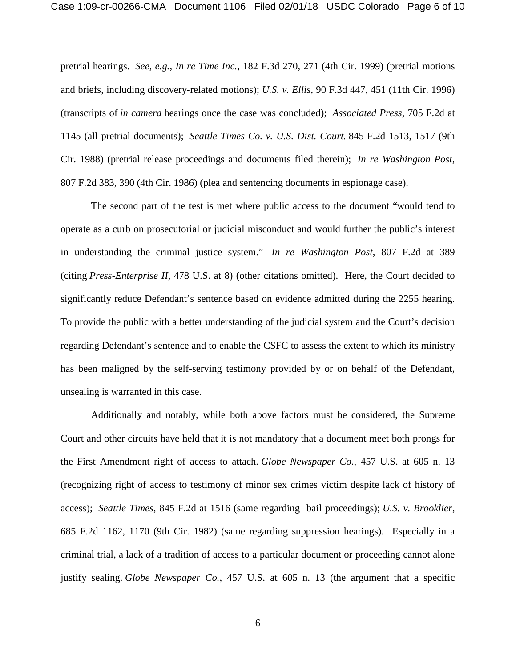pretrial hearings. *See, e.g., In re Time Inc.*, 182 F.3d 270, 271 (4th Cir. 1999) (pretrial motions and briefs, including discovery-related motions); *U.S. v. Ellis*, 90 F.3d 447, 451 (11th Cir. 1996) (transcripts of *in camera* hearings once the case was concluded); *Associated Press*, 705 F.2d at 1145 (all pretrial documents); *Seattle Times Co. v. U.S. Dist. Court.* 845 F.2d 1513, 1517 (9th Cir. 1988) (pretrial release proceedings and documents filed therein); *In re Washington Post*, 807 F.2d 383, 390 (4th Cir. 1986) (plea and sentencing documents in espionage case).

The second part of the test is met where public access to the document "would tend to operate as a curb on prosecutorial or judicial misconduct and would further the public's interest in understanding the criminal justice system." *In re Washington Post*, 807 F.2d at 389 (citing *Press-Enterprise II*, 478 U.S. at 8) (other citations omitted). Here, the Court decided to significantly reduce Defendant's sentence based on evidence admitted during the 2255 hearing. To provide the public with a better understanding of the judicial system and the Court's decision regarding Defendant's sentence and to enable the CSFC to assess the extent to which its ministry has been maligned by the self-serving testimony provided by or on behalf of the Defendant, unsealing is warranted in this case.

Additionally and notably, while both above factors must be considered, the Supreme Court and other circuits have held that it is not mandatory that a document meet both prongs for the First Amendment right of access to attach. *Globe Newspaper Co.*, 457 U.S. at 605 n. 13 (recognizing right of access to testimony of minor sex crimes victim despite lack of history of access); *Seattle Times*, 845 F.2d at 1516 (same regarding bail proceedings); *U.S. v. Brooklier*, 685 F.2d 1162, 1170 (9th Cir. 1982) (same regarding suppression hearings). Especially in a criminal trial, a lack of a tradition of access to a particular document or proceeding cannot alone justify sealing. *Globe Newspaper Co.*, 457 U.S. at 605 n. 13 (the argument that a specific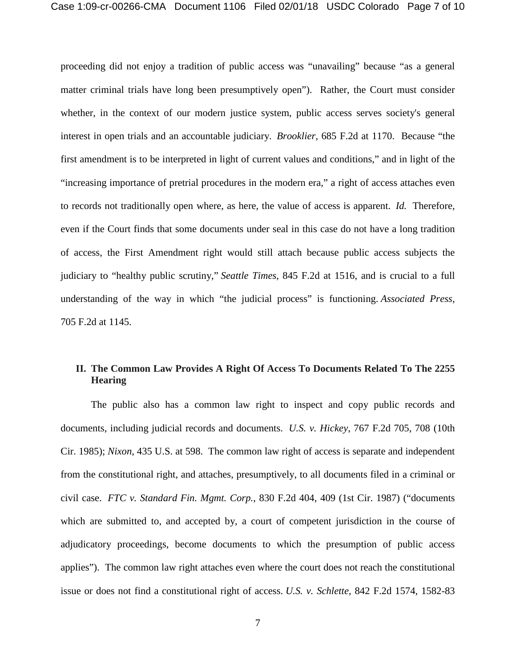proceeding did not enjoy a tradition of public access was "unavailing" because "as a general matter criminal trials have long been presumptively open"). Rather, the Court must consider whether, in the context of our modern justice system, public access serves society's general interest in open trials and an accountable judiciary. *Brooklier*, 685 F.2d at 1170. Because "the first amendment is to be interpreted in light of current values and conditions," and in light of the "increasing importance of pretrial procedures in the modern era," a right of access attaches even to records not traditionally open where, as here, the value of access is apparent. *Id.* Therefore, even if the Court finds that some documents under seal in this case do not have a long tradition of access, the First Amendment right would still attach because public access subjects the judiciary to "healthy public scrutiny," *Seattle Times*, 845 F.2d at 1516, and is crucial to a full understanding of the way in which "the judicial process" is functioning. *Associated Press*, 705 F.2d at 1145.

# **II. The Common Law Provides A Right Of Access To Documents Related To The 2255 Hearing**

The public also has a common law right to inspect and copy public records and documents, including judicial records and documents. *U.S. v. Hickey*, 767 F.2d 705, 708 (10th Cir. 1985); *Nixon*, 435 U.S. at 598. The common law right of access is separate and independent from the constitutional right, and attaches, presumptively, to all documents filed in a criminal or civil case. *FTC v. Standard Fin. Mgmt. Corp.*, 830 F.2d 404, 409 (1st Cir. 1987) ("documents which are submitted to, and accepted by, a court of competent jurisdiction in the course of adjudicatory proceedings, become documents to which the presumption of public access applies"). The common law right attaches even where the court does not reach the constitutional issue or does not find a constitutional right of access. *U.S. v. Schlette*, 842 F.2d 1574, 1582-83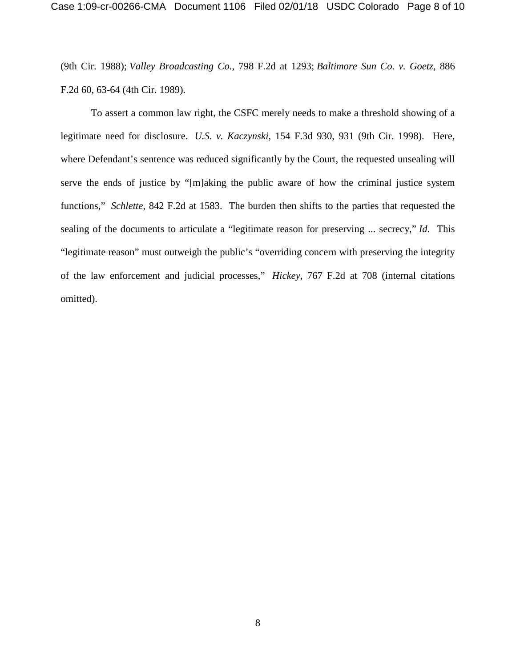(9th Cir. 1988); *Valley Broadcasting Co.*, 798 F.2d at 1293; *Baltimore Sun Co. v. Goetz*, 886 F.2d 60, 63-64 (4th Cir. 1989).

To assert a common law right, the CSFC merely needs to make a threshold showing of a legitimate need for disclosure. *U.S. v. Kaczynski*, 154 F.3d 930, 931 (9th Cir. 1998). Here, where Defendant's sentence was reduced significantly by the Court, the requested unsealing will serve the ends of justice by "[m]aking the public aware of how the criminal justice system functions," *Schlette*, 842 F.2d at 1583. The burden then shifts to the parties that requested the sealing of the documents to articulate a "legitimate reason for preserving ... secrecy," *Id*. This "legitimate reason" must outweigh the public's "overriding concern with preserving the integrity of the law enforcement and judicial processes," *Hickey*, 767 F.2d at 708 (internal citations omitted).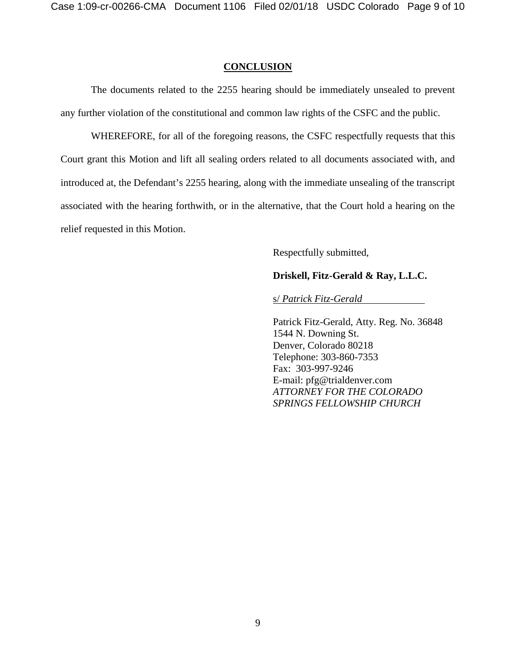### **CONCLUSION**

The documents related to the 2255 hearing should be immediately unsealed to prevent any further violation of the constitutional and common law rights of the CSFC and the public.

WHEREFORE, for all of the foregoing reasons, the CSFC respectfully requests that this Court grant this Motion and lift all sealing orders related to all documents associated with, and introduced at, the Defendant's 2255 hearing, along with the immediate unsealing of the transcript associated with the hearing forthwith, or in the alternative, that the Court hold a hearing on the relief requested in this Motion.

Respectfully submitted,

## **Driskell, Fitz-Gerald & Ray, L.L.C.**

s/ *Patrick Fitz-Gerald* 

Patrick Fitz-Gerald, Atty. Reg. No. 36848 1544 N. Downing St. Denver, Colorado 80218 Telephone: 303-860-7353 Fax: 303-997-9246 E-mail: pfg@trialdenver.com *ATTORNEY FOR THE COLORADO SPRINGS FELLOWSHIP CHURCH*